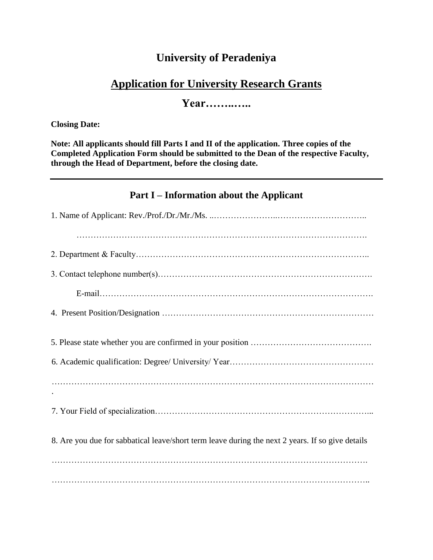## **University of Peradeniya**

## **Application for University Research Grants**

**Year……..…..**

#### **Closing Date:**

**Note: All applicants should fill Parts I and II of the application. Three copies of the Completed Application Form should be submitted to the Dean of the respective Faculty, through the Head of Department, before the closing date.**

### **Part I – Information about the Applicant**

| 8. Are you due for sabbatical leave/short term leave during the next 2 years. If so give details |  |  |
|--------------------------------------------------------------------------------------------------|--|--|
|                                                                                                  |  |  |
|                                                                                                  |  |  |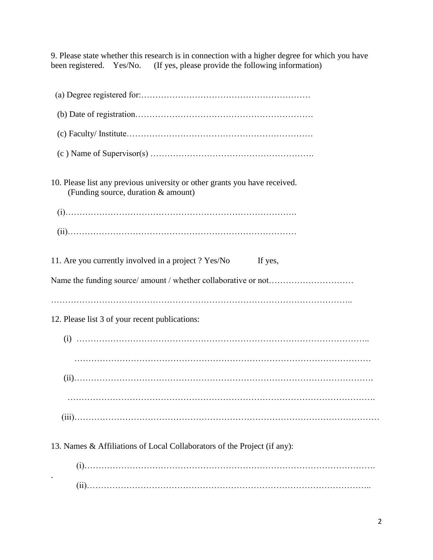9. Please state whether this research is in connection with a higher degree for which you have been registered. Yes/No. (If yes, please provide the following information)

| 10. Please list any previous university or other grants you have received.<br>(Funding source, duration & amount) |
|-------------------------------------------------------------------------------------------------------------------|
|                                                                                                                   |
|                                                                                                                   |
| 11. Are you currently involved in a project? Yes/No<br>If yes,                                                    |
|                                                                                                                   |
| 12. Please list 3 of your recent publications:                                                                    |
|                                                                                                                   |
|                                                                                                                   |
|                                                                                                                   |
|                                                                                                                   |
|                                                                                                                   |
| 13. Names & Affiliations of Local Collaborators of the Project (if any):                                          |
|                                                                                                                   |
|                                                                                                                   |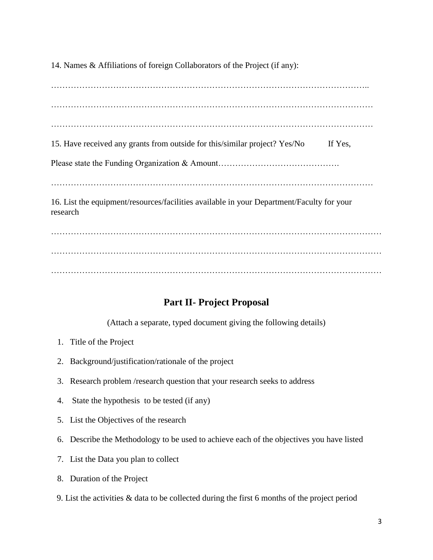14. Names & Affiliations of foreign Collaborators of the Project (if any):

………………………………………………………………………………………………….. …………………………………………………………………………………………………… …………………………………………………………………………………………………… 15. Have received any grants from outside for this/similar project? Yes/No If Yes, Please state the Funding Organization & Amount…………………………………………………………………………………………… …………………………………………………………………………………………………… 16. List the equipment/resources/facilities available in your Department/Faculty for your research ……………………………………………………………………………………………………… ………………………………………………………………………………………………………

………………………………………………………………………………………………………

### **Part II- Project Proposal**

(Attach a separate, typed document giving the following details)

- 1. Title of the Project
- 2. Background/justification/rationale of the project
- 3. Research problem /research question that your research seeks to address
- 4. State the hypothesis to be tested (if any)
- 5. List the Objectives of the research
- 6. Describe the Methodology to be used to achieve each of the objectives you have listed
- 7. List the Data you plan to collect
- 8. Duration of the Project
- 9. List the activities & data to be collected during the first 6 months of the project period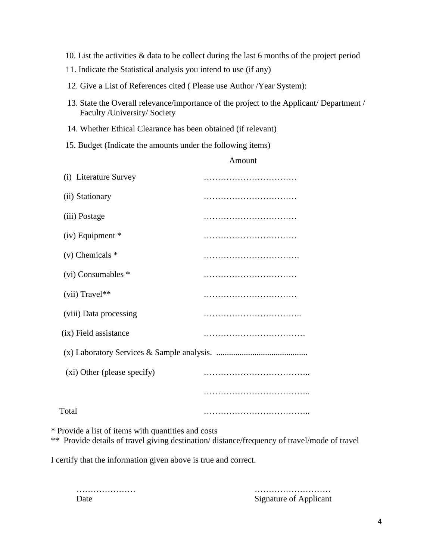- 10. List the activities & data to be collect during the last 6 months of the project period
- 11. Indicate the Statistical analysis you intend to use (if any)
- 12. Give a List of References cited ( Please use Author /Year System):
- 13. State the Overall relevance/importance of the project to the Applicant/ Department / Faculty /University/ Society

Amount

- 14. Whether Ethical Clearance has been obtained (if relevant)
- 15. Budget (Indicate the amounts under the following items)

| (i) Literature Survey       |  |
|-----------------------------|--|
| (ii) Stationary             |  |
| (iii) Postage               |  |
| $(iv)$ Equipment $*$        |  |
| $(v)$ Chemicals $*$         |  |
| $(vi)$ Consumables $*$      |  |
| $(vii)$ Travel**            |  |
| (viii) Data processing      |  |
| (ix) Field assistance       |  |
|                             |  |
| (xi) Other (please specify) |  |
|                             |  |
| Total                       |  |
|                             |  |

\* Provide a list of items with quantities and costs

\*\* Provide details of travel giving destination/ distance/frequency of travel/mode of travel

I certify that the information given above is true and correct.

………………… ……………………… Date Signature of Applicant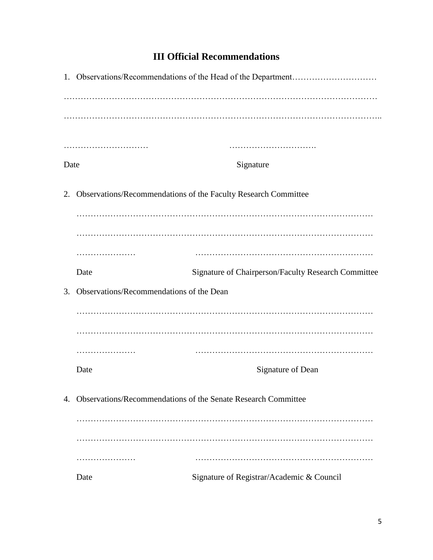# **III Official Recommendations**

| Date                                        |                                                                  | Signature                                                      |  |
|---------------------------------------------|------------------------------------------------------------------|----------------------------------------------------------------|--|
| 2.                                          |                                                                  | Observations/Recommendations of the Faculty Research Committee |  |
|                                             |                                                                  |                                                                |  |
|                                             |                                                                  |                                                                |  |
|                                             | .                                                                |                                                                |  |
|                                             | Date                                                             | Signature of Chairperson/Faculty Research Committee            |  |
| 3. Observations/Recommendations of the Dean |                                                                  |                                                                |  |
|                                             |                                                                  |                                                                |  |
|                                             |                                                                  |                                                                |  |
|                                             | .                                                                |                                                                |  |
|                                             | Date                                                             | Signature of Dean                                              |  |
|                                             | 4. Observations/Recommendations of the Senate Research Committee |                                                                |  |
|                                             |                                                                  |                                                                |  |
|                                             |                                                                  |                                                                |  |
|                                             | .                                                                |                                                                |  |
|                                             | Date                                                             | Signature of Registrar/Academic & Council                      |  |